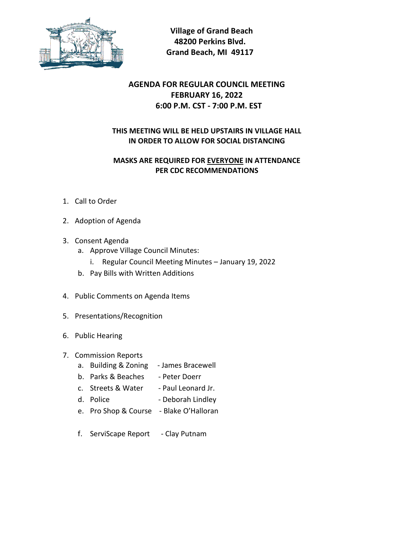

 **Village of Grand Beach 48200 Perkins Blvd. Grand Beach, MI 49117**

## **AGENDA FOR REGULAR COUNCIL MEETING FEBRUARY 16, 2022 6:00 P.M. CST - 7:00 P.M. EST**

## **THIS MEETING WILL BE HELD UPSTAIRS IN VILLAGE HALL IN ORDER TO ALLOW FOR SOCIAL DISTANCING**

## **MASKS ARE REQUIRED FOR EVERYONE IN ATTENDANCE PER CDC RECOMMENDATIONS**

- 1. Call to Order
- 2. Adoption of Agenda
- 3. Consent Agenda
	- a. Approve Village Council Minutes:
		- i. Regular Council Meeting Minutes January 19, 2022
	- b. Pay Bills with Written Additions
- 4. Public Comments on Agenda Items
- 5. Presentations/Recognition
- 6. Public Hearing
- 7. Commission Reports
	- a. Building & Zoning James Bracewell
	- b. Parks & Beaches Peter Doerr
	- c. Streets & Water Paul Leonard Jr.
	- d. Police Deborah Lindley
	- e. Pro Shop & Course Blake O'Halloran
	- f. ServiScape Report Clay Putnam